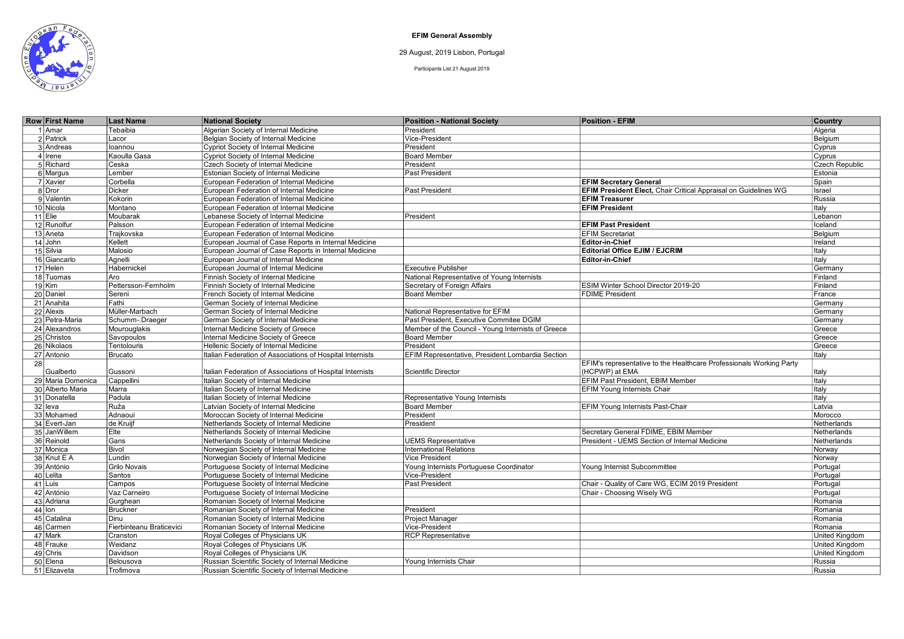

EFIM General Assembly

29 August, 2019 Lisbon, Portugal

Participants List 21 August 2019

| <b>Row First Name</b> | <b>Last Name</b>         | <b>National Society</b>                                   | <b>Position - National Society</b>                 | <b>Position - EFIM</b>                                              | Country               |
|-----------------------|--------------------------|-----------------------------------------------------------|----------------------------------------------------|---------------------------------------------------------------------|-----------------------|
| 1 Amar                | Tebaibia                 | Algerian Society of Internal Medicine                     | President                                          |                                                                     | Algeria               |
| 2 Patrick             | Lacor                    | Belgian Society of Internal Medicine                      | Vice-President                                     |                                                                     | Belgium               |
| 3 Andreas             | loannou                  | Cypriot Society of Internal Medicine                      | President                                          |                                                                     | Cyprus                |
| $4$ Irene             | Kaoulla Gasa             | Cypriot Society of Internal Medicine                      | <b>Board Member</b>                                |                                                                     | Cyprus                |
| 5 Richard             | Ceska                    | Czech Society of Internal Medicine                        | President                                          |                                                                     | Czech Republic        |
| 6 Margus              | Lember                   | Estonian Society of Internal Medicine                     | Past President                                     |                                                                     | Estonia               |
| 7 Xavier              | Corbella                 | European Federation of Internal Medicine                  |                                                    | <b>EFIM Secretary General</b>                                       | Spain                 |
| 8Dror                 | <b>Dicker</b>            | European Federation of Internal Medicine                  | Past President                                     | EFIM President Elect, Chair Critical Appraisal on Guidelines WG     | Israel                |
| 9 Valentin            | Kokorin                  | European Federation of Internal Medicine                  |                                                    | <b>EFIM Treasurer</b>                                               | Russia                |
| 10 Nicola             | Montano                  | European Federation of Internal Medicine                  |                                                    | <b>EFIM President</b>                                               | Italy                 |
| $11$ Elie             | Moubarak                 | Lebanese Society of Internal Medicine                     | President                                          |                                                                     | Lebanon               |
| 12 Runolfur           | Palsson                  | European Federation of Internal Medicine                  |                                                    | <b>EFIM Past President</b>                                          | Iceland               |
| 13 Aneta              | Trajkovska               | European Federation of Internal Medicine                  |                                                    | <b>EFIM Secretariat</b>                                             | Belgium               |
| $14$ John             | Kellett                  | European Journal of Case Reports in Internal Medicine     |                                                    | <b>Editor-in-Chief</b>                                              | Ireland               |
| 15 Silvia             | Malosio                  | European Journal of Case Reports in Internal Medicine     |                                                    | <b>Editorial Office EJIM / EJCRIM</b>                               | Italy                 |
| 16 Giancarlo          | Aqnelli                  | European Journal of Internal Medicine                     |                                                    | Editor-in-Chief                                                     | Italy                 |
| 17 Helen              | Habernickel              | European Journal of Internal Medicine                     | <b>Executive Publisher</b>                         |                                                                     | Germany               |
| 18 Tuomas             | Aro                      | Finnish Society of Internal Medicine                      | National Representative of Young Internists        |                                                                     | Finland               |
| $19$ Kim              | Pettersson-Fernholm      | Finnish Society of Internal Medicine                      | Secretary of Foreign Affairs                       | ESIM Winter School Director 2019-20                                 | Finland               |
| 20 Daniel             | Sereni                   | French Society of Internal Medicine                       | <b>Board Member</b>                                | <b>FDIME President</b>                                              | France                |
| 21 Anahita            | Fathi                    | German Society of Internal Medicine                       |                                                    |                                                                     | Germany               |
| 22 Alexis             | Müller-Marbach           | German Society of Internal Medicine                       | National Representative for EFIM                   |                                                                     | Germany               |
| 23 Petra-Maria        | Schumm-.Draeger          | German Society of Internal Medicine                       | Past President, Executive Commitee DGIM            |                                                                     | Germany               |
| 24 Alexandros         | Mourouglakis             | Internal Medicine Society of Greece                       | Member of the Council - Young Internists of Greece |                                                                     | Greece                |
| 25 Christos           | Savopoulos               | Internal Medicine Society of Greece                       | <b>Board Member</b>                                |                                                                     | Greece                |
| 26 Nikolaos           | Tentolouris              | Hellenic Society of Internal Medicine                     | President                                          |                                                                     | Greece                |
| 27 Antonio            | Brucato                  | Italian Federation of Associations of Hospital Internists | EFIM Representative, President Lombardia Section   |                                                                     | Italy                 |
| 28                    |                          |                                                           |                                                    | EFIM's representative to the Healthcare Professionals Working Party |                       |
| Gualberto             | Gussoni                  | Italian Federation of Associations of Hospital Internists | <b>Scientific Director</b>                         | (HCPWP) at EMA                                                      | Italy                 |
| 29 Maria Domenica     | Cappellini               | Italian Society of Internal Medicine                      |                                                    | EFIM Past President, EBIM Member                                    | Italy                 |
| 30 Alberto Maria      | Marra                    | Italian Society of Internal Medicine                      |                                                    | <b>EFIM Young Internists Chair</b>                                  | Italy                 |
| 31 Donatella          | Padula                   | Italian Society of Internal Medicine                      | Representative Young Internists                    |                                                                     | Italy                 |
| $32$ leva             | Ruža                     | Latvian Society of Internal Medicine                      | <b>Board Member</b>                                | EFIM Young Internists Past-Chair                                    | Latvia                |
| 33 Mohamed            | Adnaoui                  | Moroccan Society of Internal Medicine                     | President                                          |                                                                     | Morocco               |
| 34 Evert-Jan          | de Kruijf                | Netherlands Society of Internal Medicine                  | President                                          |                                                                     | Netherlands           |
| 35 JanWillem          | Elte                     | Netherlands Society of Internal Medicine                  |                                                    | Secretary General FDIME, EBIM Member                                | Netherlands           |
| 36 Reinold            | Gans                     | Netherlands Society of Internal Medicine                  | <b>UEMS Representative</b>                         | President - UEMS Section of Internal Medicine                       | Netherlands           |
| 37 Monica             | Bivol                    | Norwegian Society of Internal Medicine                    | <b>International Relations</b>                     |                                                                     | Norway                |
| 38 Knut E A           | Lundin                   | Norwegian Society of Internal Medicine                    | <b>Vice President</b>                              |                                                                     | Norway                |
| 39 António            | <b>Grilo Novais</b>      | Portuguese Society of Internal Medicine                   | Young Internists Portuguese Coordinator            | Young Internist Subcommittee                                        | Portugal              |
| 40 Lelita             | Santos                   | Portuguese Society of Internal Medicine                   | Vice-President                                     |                                                                     | Portugal              |
| $41$ Luis             | Campos                   | Portuguese Society of Internal Medicine                   | Past President                                     | Chair - Quality of Care WG, ECIM 2019 President                     | Portugal              |
| 42 António            | Vaz Carneiro             | Portuguese Society of Internal Medicine                   |                                                    | Chair - Choosing Wisely WG                                          | Portugal              |
| 43 Adriana            | Gurghean                 | Romanian Society of Internal Medicine                     |                                                    |                                                                     | Romania               |
| $44$ lon              | Bruckner                 | Romanian Society of Internal Medicine                     | President                                          |                                                                     | Romania               |
| 45 Catalina           | Dinu                     | Romanian Society of Internal Medicine                     | <b>Project Manager</b>                             |                                                                     | Romania               |
| 46 Carmen             | Fierbinteanu Braticevici | Romanian Society of Internal Medicine                     | Vice-President                                     |                                                                     | Romania               |
| 47 Mark               | Cranston                 | Royal Colleges of Physicians UK                           | <b>RCP Representative</b>                          |                                                                     | United Kingdom        |
| 48 Frauke             | Weidanz                  | Royal Colleges of Physicians UK                           |                                                    |                                                                     | <b>United Kingdom</b> |
| $49$ Chris            | Davidson                 | Royal Colleges of Physicians UK                           |                                                    |                                                                     | <b>United Kingdom</b> |
| 50 Elena              | Belousova                | Russian Scientific Society of Internal Medicine           | Young Internists Chair                             |                                                                     | Russia                |
| 51 Elizaveta          | Trofimova                | Russian Scientific Society of Internal Medicine           |                                                    |                                                                     | Russia                |
|                       |                          |                                                           |                                                    |                                                                     |                       |